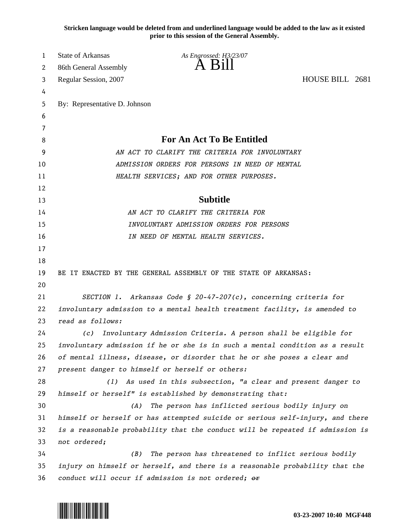**Stricken language would be deleted from and underlined language would be added to the law as it existed prior to this session of the General Assembly.**

| 1  | <b>State of Arkansas</b>                                                     | As Engrossed: H3/23/07                                                        |                 |
|----|------------------------------------------------------------------------------|-------------------------------------------------------------------------------|-----------------|
| 2  | 86th General Assembly                                                        | $\overline{A}$ $\overline{B}1$                                                |                 |
| 3  | Regular Session, 2007                                                        |                                                                               | HOUSE BILL 2681 |
| 4  |                                                                              |                                                                               |                 |
| 5  | By: Representative D. Johnson                                                |                                                                               |                 |
| 6  |                                                                              |                                                                               |                 |
| 7  |                                                                              |                                                                               |                 |
| 8  | <b>For An Act To Be Entitled</b>                                             |                                                                               |                 |
| 9  | AN ACT TO CLARIFY THE CRITERIA FOR INVOLUNTARY                               |                                                                               |                 |
| 10 | ADMISSION ORDERS FOR PERSONS IN NEED OF MENTAL                               |                                                                               |                 |
| 11 |                                                                              | HEALTH SERVICES; AND FOR OTHER PURPOSES.                                      |                 |
| 12 |                                                                              |                                                                               |                 |
| 13 |                                                                              | <b>Subtitle</b>                                                               |                 |
| 14 |                                                                              | AN ACT TO CLARIFY THE CRITERIA FOR                                            |                 |
| 15 | INVOLUNTARY ADMISSION ORDERS FOR PERSONS                                     |                                                                               |                 |
| 16 |                                                                              | IN NEED OF MENTAL HEALTH SERVICES.                                            |                 |
| 17 |                                                                              |                                                                               |                 |
| 18 |                                                                              |                                                                               |                 |
| 19 |                                                                              | BE IT ENACTED BY THE GENERAL ASSEMBLY OF THE STATE OF ARKANSAS:               |                 |
| 20 |                                                                              |                                                                               |                 |
| 21 |                                                                              | SECTION 1. Arkansas Code § 20-47-207(c), concerning criteria for              |                 |
| 22 | involuntary admission to a mental health treatment facility, is amended to   |                                                                               |                 |
| 23 | read as follows:                                                             |                                                                               |                 |
| 24 | (c)                                                                          | Involuntary Admission Criteria. A person shall be eligible for                |                 |
| 25 |                                                                              | involuntary admission if he or she is in such a mental condition as a result  |                 |
| 26 |                                                                              | of mental illness, disease, or disorder that he or she poses a clear and      |                 |
| 27 |                                                                              | present danger to himself or herself or others:                               |                 |
| 28 |                                                                              | (1) As used in this subsection, "a clear and present danger to                |                 |
| 29 |                                                                              | himself or herself" is established by demonstrating that:                     |                 |
| 30 | (A)                                                                          | The person has inflicted serious bodily injury on                             |                 |
| 31 |                                                                              | himself or herself or has attempted suicide or serious self-injury, and there |                 |
| 32 |                                                                              | is a reasonable probability that the conduct will be repeated if admission is |                 |
| 33 | not ordered;                                                                 |                                                                               |                 |
| 34 | (B)                                                                          | The person has threatened to inflict serious bodily                           |                 |
| 35 | injury on himself or herself, and there is a reasonable probability that the |                                                                               |                 |
| 36 | conduct will occur if admission is not ordered; or                           |                                                                               |                 |